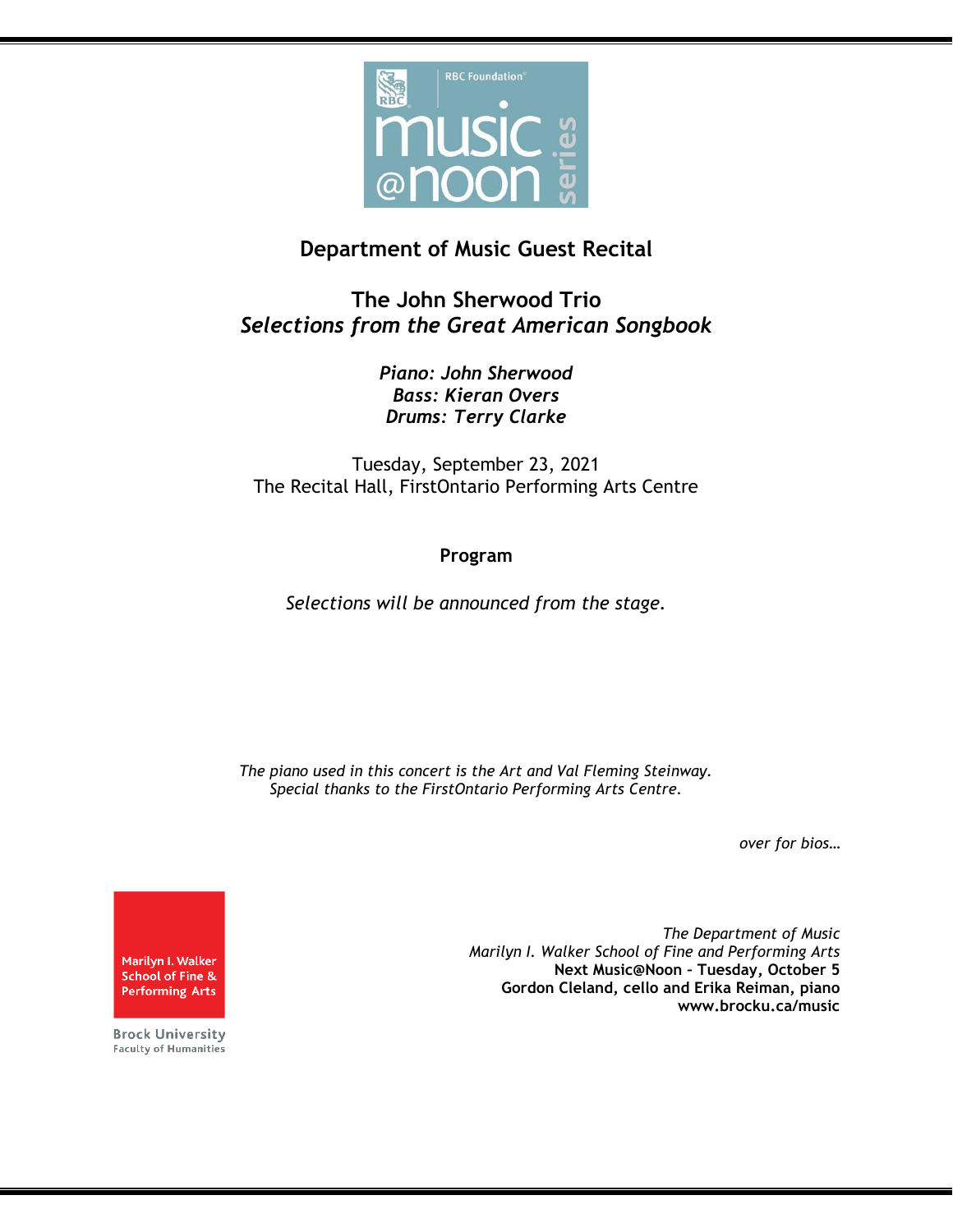

## **Department of Music Guest Recital**

**The John Sherwood Trio** *Selections from the Great American Songbook*

> *Piano: John Sherwood Bass: Kieran Overs Drums: Terry Clarke*

Tuesday, September 23, 2021 The Recital Hall, FirstOntario Performing Arts Centre

## **Program**

*Selections will be announced from the stage.*

*The piano used in this concert is the Art and Val Fleming Steinway. Special thanks to the FirstOntario Performing Arts Centre.*

*over for bios…*

Marilyn I. Walker School of Fine & **Performing Arts** 

**Brock University Faculty of Humanities** 

*The Department of Music Marilyn I. Walker School of Fine and Performing Arts* **Next Music@Noon – Tuesday, October 5 Gordon Cleland, cello and Erika Reiman, piano www.brocku.ca/music**